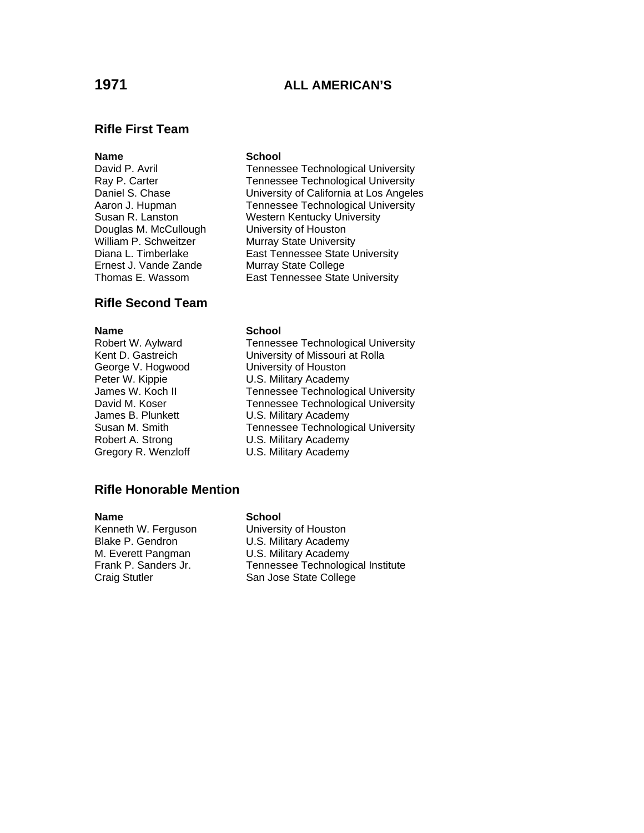# **1971 ALL AMERICAN'S**

## **Rifle First Team**

Douglas M. McCullough University of Houston William P. Schweitzer Murray State University

# **Rifle Second Team**

**Name School**<br>
Robert W. Aylward **Tenness** 

### **Name** School

David P. Avril **Tennessee Technological University** Ray P. Carter Tennessee Technological University Daniel S. Chase University of California at Los Angeles Aaron J. Hupman Tennessee Technological University Susan R. Lanston Western Kentucky University Diana L. Timberlake East Tennessee State University<br>Ernest J. Vande Zande Murray State College **Murray State College** Thomas E. Wassom East Tennessee State University

Tennessee Technological University Kent D. Gastreich University of Missouri at Rolla George V. Hogwood University of Houston Peter W. Kippie **U.S. Military Academy** James W. Koch II Tennessee Technological University David M. Koser Tennessee Technological University James B. Plunkett U.S. Military Academy Susan M. Smith Tennessee Technological University Robert A. Strong U.S. Military Academy Gregory R. Wenzloff U.S. Military Academy

### **Rifle Honorable Mention**

Kenneth W. Ferguson University of Houston Blake P. Gendron U.S. Military Academy M. Everett Pangman U.S. Military Academy

### **Name** School

Frank P. Sanders Jr. Tennessee Technological Institute Craig Stutler San Jose State College